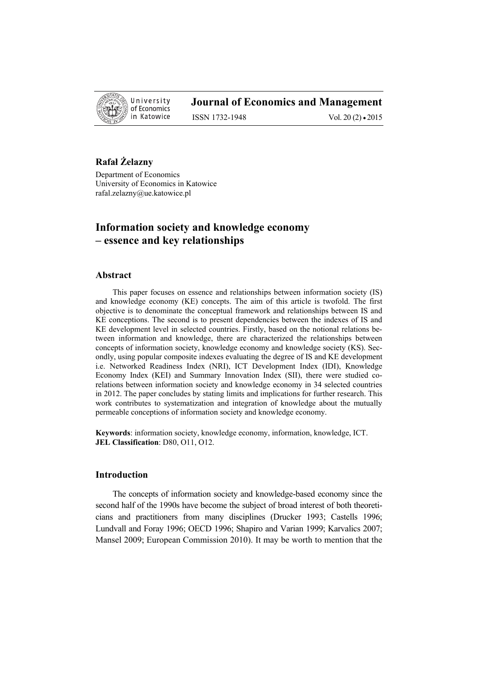

# **Journal of Economics and Management**

ISSN 1732-1948 Vol. 20 (2) • 2015

## **Rafał Żelazny**

Department of Economics University of Economics in Katowice rafal.zelazny@ue.katowice.pl

# **Information society and knowledge economy – essence and key relationships**

#### **Abstract**

This paper focuses on essence and relationships between information society (IS) and knowledge economy (KE) concepts. The aim of this article is twofold. The first objective is to denominate the conceptual framework and relationships between IS and KE conceptions. The second is to present dependencies between the indexes of IS and KE development level in selected countries. Firstly, based on the notional relations between information and knowledge, there are characterized the relationships between concepts of information society, knowledge economy and knowledge society (KS). Secondly, using popular composite indexes evaluating the degree of IS and KE development i.e. Networked Readiness Index (NRI), ICT Development Index (IDI), Knowledge Economy Index (KEI) and Summary Innovation Index (SII), there were studied corelations between information society and knowledge economy in 34 selected countries in 2012. The paper concludes by stating limits and implications for further research. This work contributes to systematization and integration of knowledge about the mutually permeable conceptions of information society and knowledge economy.

**Keywords**: information society, knowledge economy, information, knowledge, ICT. **JEL Classification**: D80, O11, O12.

### **Introduction**

The concepts of information society and knowledge-based economy since the second half of the 1990s have become the subject of broad interest of both theoreticians and practitioners from many disciplines (Drucker 1993; Castells 1996; Lundvall and Foray 1996; OECD 1996; Shapiro and Varian 1999; Karvalics 2007; Mansel 2009; European Commission 2010). It may be worth to mention that the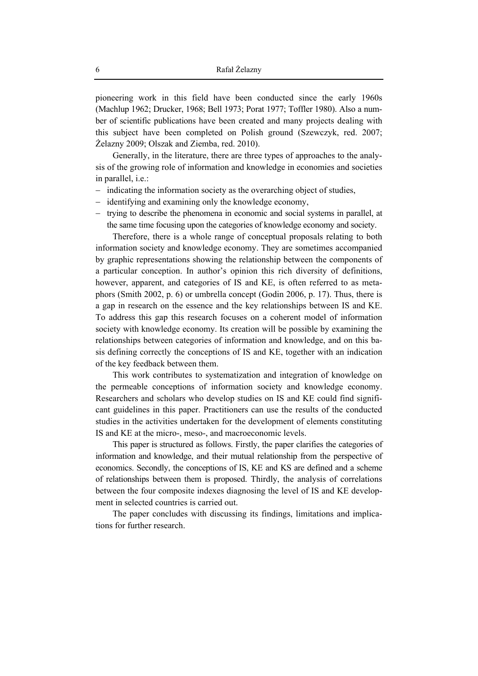pioneering work in this field have been conducted since the early 1960s (Machlup 1962; Drucker, 1968; Bell 1973; Porat 1977; Toffler 1980). Also a number of scientific publications have been created and many projects dealing with this subject have been completed on Polish ground (Szewczyk, red. 2007; Żelazny 2009; Olszak and Ziemba, red. 2010).

Generally, in the literature, there are three types of approaches to the analysis of the growing role of information and knowledge in economies and societies in parallel, i.e.:

- − indicating the information society as the overarching object of studies,
- identifying and examining only the knowledge economy,
- trying to describe the phenomena in economic and social systems in parallel, at the same time focusing upon the categories of knowledge economy and society.

Therefore, there is a whole range of conceptual proposals relating to both information society and knowledge economy. They are sometimes accompanied by graphic representations showing the relationship between the components of a particular conception. In author's opinion this rich diversity of definitions, however, apparent, and categories of IS and KE, is often referred to as metaphors (Smith 2002, p. 6) or umbrella concept (Godin 2006, p. 17). Thus, there is a gap in research on the essence and the key relationships between IS and KE. To address this gap this research focuses on a coherent model of information society with knowledge economy. Its creation will be possible by examining the relationships between categories of information and knowledge, and on this basis defining correctly the conceptions of IS and KE, together with an indication of the key feedback between them.

This work contributes to systematization and integration of knowledge on the permeable conceptions of information society and knowledge economy. Researchers and scholars who develop studies on IS and KE could find significant guidelines in this paper. Practitioners can use the results of the conducted studies in the activities undertaken for the development of elements constituting IS and KE at the micro-, meso-, and macroeconomic levels.

This paper is structured as follows. Firstly, the paper clarifies the categories of information and knowledge, and their mutual relationship from the perspective of economics. Secondly, the conceptions of IS, KE and KS are defined and a scheme of relationships between them is proposed. Thirdly, the analysis of correlations between the four composite indexes diagnosing the level of IS and KE development in selected countries is carried out.

The paper concludes with discussing its findings, limitations and implications for further research.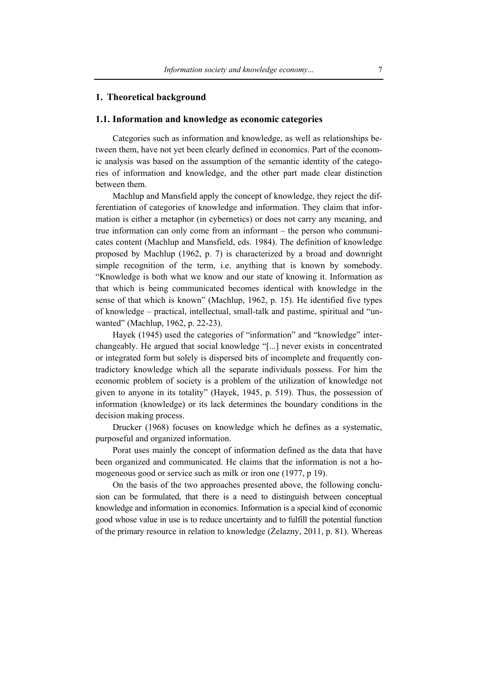#### **1. Theoretical background**

### **1.1. Information and knowledge as economic categories**

Categories such as information and knowledge, as well as relationships between them, have not yet been clearly defined in economics. Part of the economic analysis was based on the assumption of the semantic identity of the categories of information and knowledge, and the other part made clear distinction between them.

Machlup and Mansfield apply the concept of knowledge, they reject the differentiation of categories of knowledge and information. They claim that information is either a metaphor (in cybernetics) or does not carry any meaning, and true information can only come from an informant – the person who communicates content (Machlup and Mansfield, eds. 1984). The definition of knowledge proposed by Machlup (1962, p. 7) is characterized by a broad and downright simple recognition of the term, i.e. anything that is known by somebody. "Knowledge is both what we know and our state of knowing it. Information as that which is being communicated becomes identical with knowledge in the sense of that which is known" (Machlup, 1962, p. 15). He identified five types of knowledge – practical, intellectual, small-talk and pastime, spiritual and "unwanted" (Machlup, 1962, p. 22-23).

Hayek (1945) used the categories of "information" and "knowledge" interchangeably. He argued that social knowledge "[...] never exists in concentrated or integrated form but solely is dispersed bits of incomplete and frequently contradictory knowledge which all the separate individuals possess. For him the economic problem of society is a problem of the utilization of knowledge not given to anyone in its totality" (Hayek, 1945, p. 519). Thus, the possession of information (knowledge) or its lack determines the boundary conditions in the decision making process.

Drucker (1968) focuses on knowledge which he defines as a systematic, purposeful and organized information.

Porat uses mainly the concept of information defined as the data that have been organized and communicated. He claims that the information is not a homogeneous good or service such as milk or iron one (1977, p 19).

On the basis of the two approaches presented above, the following conclusion can be formulated, that there is a need to distinguish between conceptual knowledge and information in economics. Information is a special kind of economic good whose value in use is to reduce uncertainty and to fulfill the potential function of the primary resource in relation to knowledge (Żelazny, 2011, p. 81). Whereas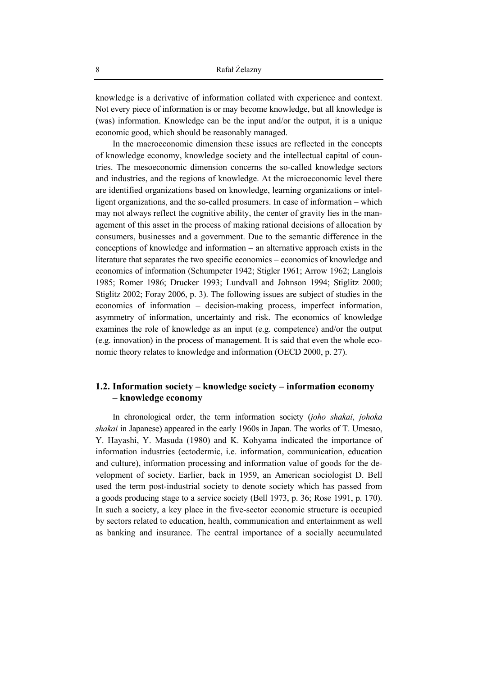knowledge is a derivative of information collated with experience and context. Not every piece of information is or may become knowledge, but all knowledge is (was) information. Knowledge can be the input and/or the output, it is a unique economic good, which should be reasonably managed.

In the macroeconomic dimension these issues are reflected in the concepts of knowledge economy, knowledge society and the intellectual capital of countries. The mesoeconomic dimension concerns the so-called knowledge sectors and industries, and the regions of knowledge. At the microeconomic level there are identified organizations based on knowledge, learning organizations or intelligent organizations, and the so-called prosumers. In case of information – which may not always reflect the cognitive ability, the center of gravity lies in the management of this asset in the process of making rational decisions of allocation by consumers, businesses and a government. Due to the semantic difference in the conceptions of knowledge and information  $-$  an alternative approach exists in the literature that separates the two specific economics – economics of knowledge and economics of information (Schumpeter 1942; Stigler 1961; Arrow 1962; Langlois 1985; Romer 1986; Drucker 1993; Lundvall and Johnson 1994; Stiglitz 2000; Stiglitz 2002; Foray 2006, p. 3). The following issues are subject of studies in the economics of information - decision-making process, imperfect information, asymmetry of information, uncertainty and risk. The economics of knowledge examines the role of knowledge as an input (e.g. competence) and/or the output (e.g. innovation) in the process of management. It is said that even the whole economic theory relates to knowledge and information (OECD 2000, p. 27).

### 1.2. Information society – knowledge society – information economy - knowledge economy

In chronological order, the term information society (joho shakai, johoka *shakai* in Japanese) appeared in the early 1960s in Japan. The works of T. Umesao, Y. Hayashi, Y. Masuda (1980) and K. Kohyama indicated the importance of information industries (ectodermic, i.e. information, communication, education and culture), information processing and information value of goods for the development of society. Earlier, back in 1959, an American sociologist D. Bell used the term post-industrial society to denote society which has passed from a goods producing stage to a service society (Bell 1973, p. 36; Rose 1991, p. 170). In such a society, a key place in the five-sector economic structure is occupied by sectors related to education, health, communication and entertainment as well as banking and insurance. The central importance of a socially accumulated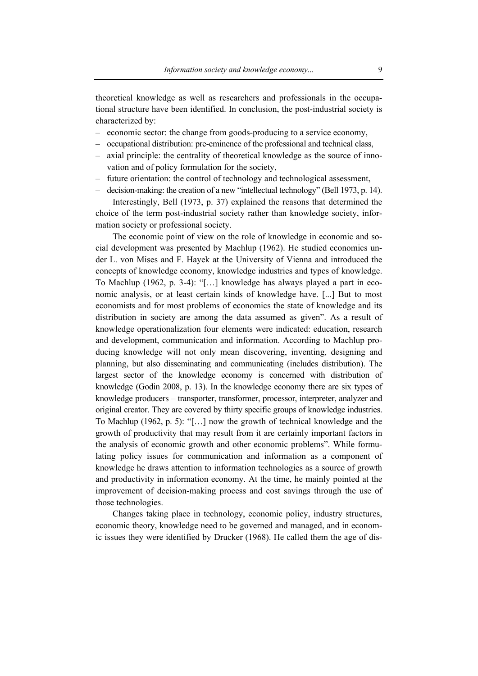theoretical knowledge as well as researchers and professionals in the occupational structure have been identified. In conclusion, the post-industrial society is characterized by:

- economic sector: the change from goods-producing to a service economy,
- occupational distribution: pre-eminence of the professional and technical class,
- axial principle: the centrality of theoretical knowledge as the source of innovation and of policy formulation for the society,
- future orientation: the control of technology and technological assessment,
- decision-making: the creation of a new "intellectual technology" (Bell 1973, p. 14).

Interestingly, Bell (1973, p. 37) explained the reasons that determined the choice of the term post-industrial society rather than knowledge society, information society or professional society.

The economic point of view on the role of knowledge in economic and social development was presented by Machlup (1962). He studied economics under L. von Mises and F. Hayek at the University of Vienna and introduced the concepts of knowledge economy, knowledge industries and types of knowledge. To Machlup (1962, p. 3-4): "[…] knowledge has always played a part in economic analysis, or at least certain kinds of knowledge have. [...] But to most economists and for most problems of economics the state of knowledge and its distribution in society are among the data assumed as given". As a result of knowledge operationalization four elements were indicated: education, research and development, communication and information. According to Machlup producing knowledge will not only mean discovering, inventing, designing and planning, but also disseminating and communicating (includes distribution). The largest sector of the knowledge economy is concerned with distribution of knowledge (Godin 2008, p. 13). In the knowledge economy there are six types of knowledge producers – transporter, transformer, processor, interpreter, analyzer and original creator. They are covered by thirty specific groups of knowledge industries. To Machlup (1962, p. 5): "[…] now the growth of technical knowledge and the growth of productivity that may result from it are certainly important factors in the analysis of economic growth and other economic problems". While formulating policy issues for communication and information as a component of knowledge he draws attention to information technologies as a source of growth and productivity in information economy. At the time, he mainly pointed at the improvement of decision-making process and cost savings through the use of those technologies.

Changes taking place in technology, economic policy, industry structures, economic theory, knowledge need to be governed and managed, and in economic issues they were identified by Drucker (1968). He called them the age of dis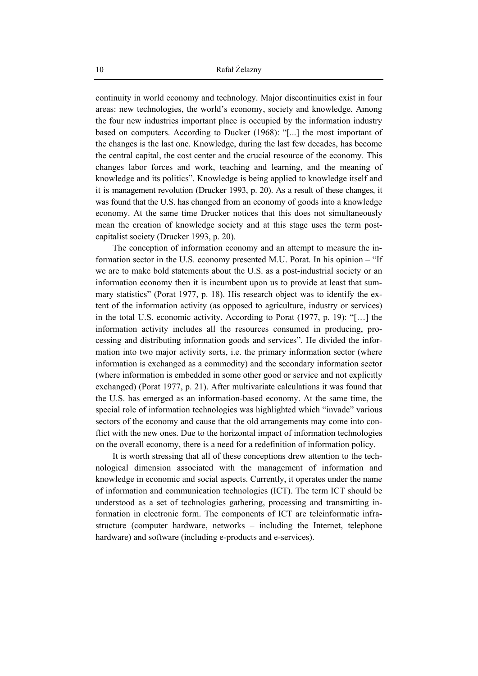continuity in world economy and technology. Major discontinuities exist in four areas: new technologies, the world's economy, society and knowledge. Among the four new industries important place is occupied by the information industry based on computers. According to Ducker (1968): "[...] the most important of the changes is the last one. Knowledge, during the last few decades, has become the central capital, the cost center and the crucial resource of the economy. This changes labor forces and work, teaching and learning, and the meaning of knowledge and its politics". Knowledge is being applied to knowledge itself and it is management revolution (Drucker 1993, p. 20). As a result of these changes, it was found that the U.S. has changed from an economy of goods into a knowledge economy. At the same time Drucker notices that this does not simultaneously mean the creation of knowledge society and at this stage uses the term postcapitalist society (Drucker 1993, p. 20).

The conception of information economy and an attempt to measure the information sector in the U.S. economy presented M.U. Porat. In his opinion – "If we are to make bold statements about the U.S. as a post-industrial society or an information economy then it is incumbent upon us to provide at least that summary statistics" (Porat 1977, p. 18). His research object was to identify the extent of the information activity (as opposed to agriculture, industry or services) in the total U.S. economic activity. According to Porat (1977, p. 19): "[…] the information activity includes all the resources consumed in producing, processing and distributing information goods and services". He divided the information into two major activity sorts, i.e. the primary information sector (where information is exchanged as a commodity) and the secondary information sector (where information is embedded in some other good or service and not explicitly exchanged) (Porat 1977, p. 21). After multivariate calculations it was found that the U.S. has emerged as an information-based economy. At the same time, the special role of information technologies was highlighted which "invade" various sectors of the economy and cause that the old arrangements may come into conflict with the new ones. Due to the horizontal impact of information technologies on the overall economy, there is a need for a redefinition of information policy.

It is worth stressing that all of these conceptions drew attention to the technological dimension associated with the management of information and knowledge in economic and social aspects. Currently, it operates under the name of information and communication technologies (ICT). The term ICT should be understood as a set of technologies gathering, processing and transmitting information in electronic form. The components of ICT are teleinformatic infrastructure (computer hardware, networks – including the Internet, telephone hardware) and software (including e-products and e-services).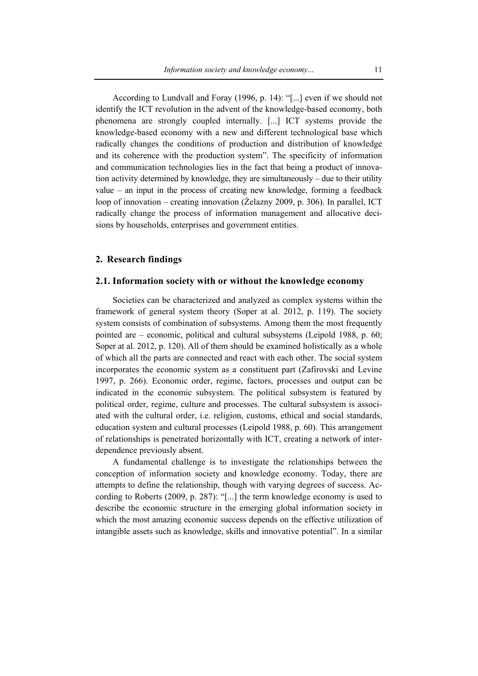According to Lundvall and Foray (1996, p. 14): "[...] even if we should not identify the ICT revolution in the advent of the knowledge-based economy, both phenomena are strongly coupled internally. [...] ICT systems provide the knowledge-based economy with a new and different technological base which radically changes the conditions of production and distribution of knowledge and its coherence with the production system". The specificity of information and communication technologies lies in the fact that being a product of innovation activity determined by knowledge, they are simultaneously – due to their utility value – an input in the process of creating new knowledge, forming a feedback loop of innovation – creating innovation (Żelazny 2009, p. 306). In parallel, ICT radically change the process of information management and allocative decisions by households, enterprises and government entities.

### **2. Research findings**

### **2.1. Information society with or without the knowledge economy**

Societies can be characterized and analyzed as complex systems within the framework of general system theory (Soper at al. 2012, p. 119). The society system consists of combination of subsystems. Among them the most frequently pointed are – economic, political and cultural subsystems (Leipold 1988, p. 60; Soper at al. 2012, p. 120). All of them should be examined holistically as a whole of which all the parts are connected and react with each other. The social system incorporates the economic system as a constituent part (Zafirovski and Levine 1997, p. 266). Economic order, regime, factors, processes and output can be indicated in the economic subsystem. The political subsystem is featured by political order, regime, culture and processes. The cultural subsystem is associated with the cultural order, i.e. religion, customs, ethical and social standards, education system and cultural processes (Leipold 1988, p. 60). This arrangement of relationships is penetrated horizontally with ICT, creating a network of interdependence previously absent.

A fundamental challenge is to investigate the relationships between the conception of information society and knowledge economy. Today, there are attempts to define the relationship, though with varying degrees of success. According to Roberts (2009, p. 287): "[...] the term knowledge economy is used to describe the economic structure in the emerging global information society in which the most amazing economic success depends on the effective utilization of intangible assets such as knowledge, skills and innovative potential". In a similar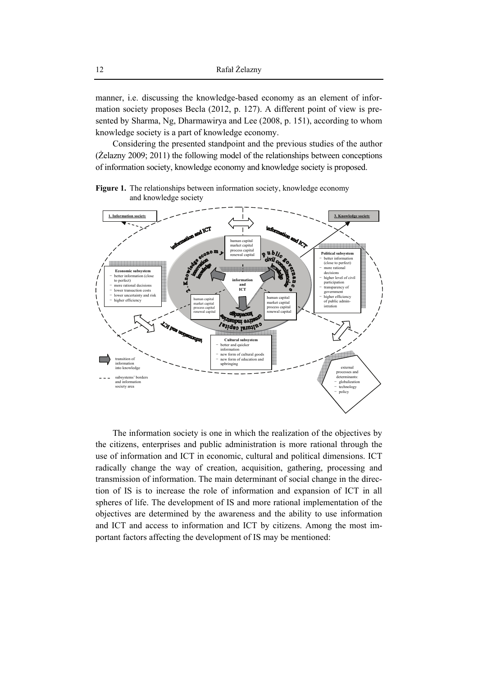manner, i.e. discussing the knowledge-based economy as an element of information society proposes Becla (2012, p. 127). A different point of view is presented by Sharma, Ng, Dharmawirya and Lee (2008, p. 151), according to whom knowledge society is a part of knowledge economy.

Considering the presented standpoint and the previous studies of the author (Żelazny 2009; 2011) the following model of the relationships between conceptions of information society, knowledge economy and knowledge society is proposed.





The information society is one in which the realization of the objectives by the citizens, enterprises and public administration is more rational through the use of information and ICT in economic, cultural and political dimensions. ICT radically change the way of creation, acquisition, gathering, processing and transmission of information. The main determinant of social change in the direction of IS is to increase the role of information and expansion of ICT in all spheres of life. The development of IS and more rational implementation of the objectives are determined by the awareness and the ability to use information and ICT and access to information and ICT by citizens. Among the most important factors affecting the development of IS may be mentioned: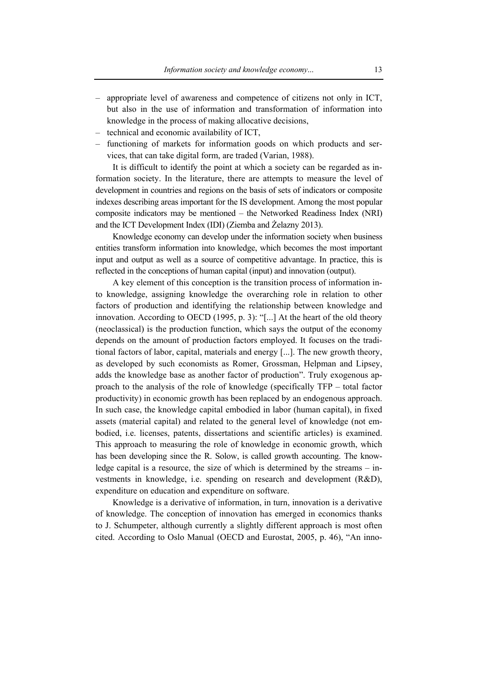- appropriate level of awareness and competence of citizens not only in ICT, but also in the use of information and transformation of information into knowledge in the process of making allocative decisions,
- technical and economic availability of ICT,
- functioning of markets for information goods on which products and services, that can take digital form, are traded (Varian, 1988).

It is difficult to identify the point at which a society can be regarded as information society. In the literature, there are attempts to measure the level of development in countries and regions on the basis of sets of indicators or composite indexes describing areas important for the IS development. Among the most popular composite indicators may be mentioned – the Networked Readiness Index (NRI) and the ICT Development Index (IDI) (Ziemba and Żelazny 2013).

Knowledge economy can develop under the information society when business entities transform information into knowledge, which becomes the most important input and output as well as a source of competitive advantage. In practice, this is reflected in the conceptions of human capital (input) and innovation (output).

A key element of this conception is the transition process of information into knowledge, assigning knowledge the overarching role in relation to other factors of production and identifying the relationship between knowledge and innovation. According to OECD (1995, p. 3): "[...] At the heart of the old theory (neoclassical) is the production function, which says the output of the economy depends on the amount of production factors employed. It focuses on the traditional factors of labor, capital, materials and energy [...]. The new growth theory, as developed by such economists as Romer, Grossman, Helpman and Lipsey, adds the knowledge base as another factor of production". Truly exogenous approach to the analysis of the role of knowledge (specifically TFP – total factor productivity) in economic growth has been replaced by an endogenous approach. In such case, the knowledge capital embodied in labor (human capital), in fixed assets (material capital) and related to the general level of knowledge (not embodied, i.e. licenses, patents, dissertations and scientific articles) is examined. This approach to measuring the role of knowledge in economic growth, which has been developing since the R. Solow, is called growth accounting. The knowledge capital is a resource, the size of which is determined by the streams – investments in knowledge, i.e. spending on research and development (R&D), expenditure on education and expenditure on software.

Knowledge is a derivative of information, in turn, innovation is a derivative of knowledge. The conception of innovation has emerged in economics thanks to J. Schumpeter, although currently a slightly different approach is most often cited. According to Oslo Manual (OECD and Eurostat, 2005, p. 46), "An inno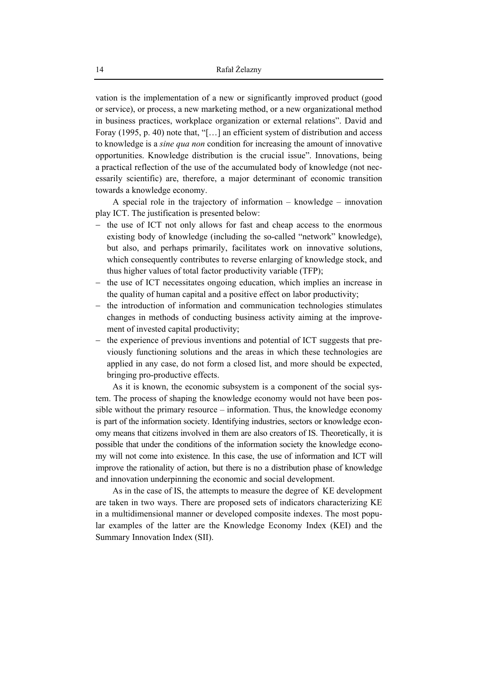vation is the implementation of a new or significantly improved product (good or service), or process, a new marketing method, or a new organizational method in business practices, workplace organization or external relations". David and Foray (1995, p. 40) note that, "[...] an efficient system of distribution and access to knowledge is a *sine qua non* condition for increasing the amount of innovative opportunities. Knowledge distribution is the crucial issue". Innovations, being a practical reflection of the use of the accumulated body of knowledge (not necessarily scientific) are, therefore, a major determinant of economic transition towards a knowledge economy.

A special role in the trajectory of information  $-$  knowledge  $-$  innovation play ICT. The justification is presented below:

- $-$  the use of ICT not only allows for fast and cheap access to the enormous existing body of knowledge (including the so-called "network" knowledge), but also, and perhaps primarily, facilitates work on innovative solutions, which consequently contributes to reverse enlarging of knowledge stock, and thus higher values of total factor productivity variable (TFP);
- the use of ICT necessitates ongoing education, which implies an increase in the quality of human capital and a positive effect on labor productivity;
- the introduction of information and communication technologies stimulates changes in methods of conducting business activity aiming at the improvement of invested capital productivity;
- the experience of previous inventions and potential of ICT suggests that previously functioning solutions and the areas in which these technologies are applied in any case, do not form a closed list, and more should be expected, bringing pro-productive effects.

As it is known, the economic subsystem is a component of the social system. The process of shaping the knowledge economy would not have been possible without the primary resource – information. Thus, the knowledge economy is part of the information society. Identifying industries, sectors or knowledge economy means that citizens involved in them are also creators of IS. Theoretically, it is possible that under the conditions of the information society the knowledge economy will not come into existence. In this case, the use of information and ICT will improve the rationality of action, but there is no a distribution phase of knowledge and innovation underpinning the economic and social development.

As in the case of IS, the attempts to measure the degree of KE development are taken in two ways. There are proposed sets of indicators characterizing KE in a multidimensional manner or developed composite indexes. The most popular examples of the latter are the Knowledge Economy Index (KEI) and the Summary Innovation Index (SII).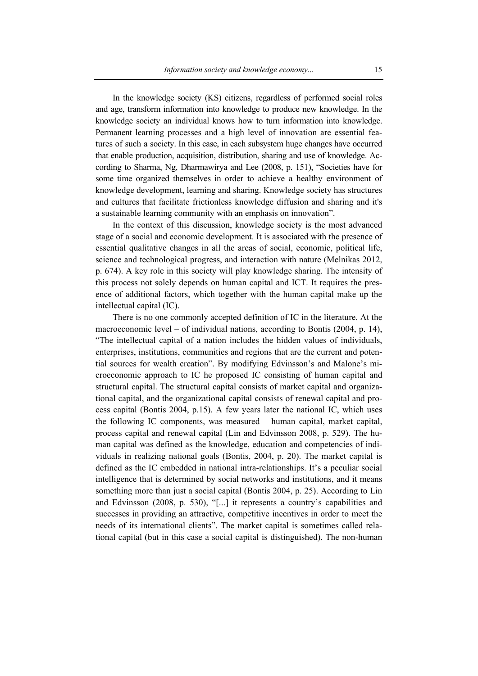In the knowledge society (KS) citizens, regardless of performed social roles and age, transform information into knowledge to produce new knowledge. In the knowledge society an individual knows how to turn information into knowledge. Permanent learning processes and a high level of innovation are essential features of such a society. In this case, in each subsystem huge changes have occurred that enable production, acquisition, distribution, sharing and use of knowledge. According to Sharma, Ng, Dharmawirya and Lee (2008, p. 151), "Societies have for some time organized themselves in order to achieve a healthy environment of knowledge development, learning and sharing. Knowledge society has structures and cultures that facilitate frictionless knowledge diffusion and sharing and it's a sustainable learning community with an emphasis on innovation".

In the context of this discussion, knowledge society is the most advanced stage of a social and economic development. It is associated with the presence of essential qualitative changes in all the areas of social, economic, political life, science and technological progress, and interaction with nature (Melnikas 2012, p. 674). A key role in this society will play knowledge sharing. The intensity of this process not solely depends on human capital and ICT. It requires the presence of additional factors, which together with the human capital make up the intellectual capital (IC).

There is no one commonly accepted definition of IC in the literature. At the macroeconomic level – of individual nations, according to Bontis (2004, p. 14), "The intellectual capital of a nation includes the hidden values of individuals, enterprises, institutions, communities and regions that are the current and potential sources for wealth creation". By modifying Edvinsson's and Malone's microeconomic approach to IC he proposed IC consisting of human capital and structural capital. The structural capital consists of market capital and organizational capital, and the organizational capital consists of renewal capital and process capital (Bontis 2004, p.15). A few years later the national IC, which uses the following IC components, was measured – human capital, market capital, process capital and renewal capital (Lin and Edvinsson 2008, p. 529). The human capital was defined as the knowledge, education and competencies of individuals in realizing national goals (Bontis, 2004, p. 20). The market capital is defined as the IC embedded in national intra-relationships. It's a peculiar social intelligence that is determined by social networks and institutions, and it means something more than just a social capital (Bontis 2004, p. 25). According to Lin and Edvinsson (2008, p. 530), "[...] it represents a country's capabilities and successes in providing an attractive, competitive incentives in order to meet the needs of its international clients". The market capital is sometimes called relational capital (but in this case a social capital is distinguished). The non-human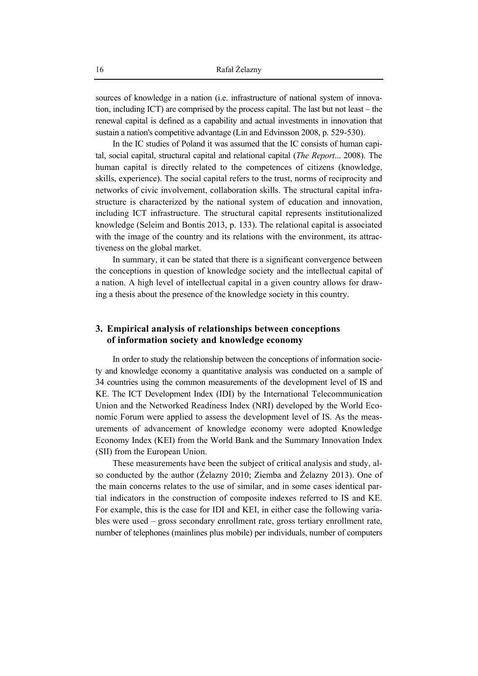sources of knowledge in a nation (i.e. infrastructure of national system of innovation, including ICT) are comprised by the process capital. The last but not least – the renewal capital is defined as a capability and actual investments in innovation that sustain a nation's competitive advantage (Lin and Edvinsson 2008, p. 529-530).

In the IC studies of Poland it was assumed that the IC consists of human capital, social capital, structural capital and relational capital (*The Report*... 2008). The human capital is directly related to the competences of citizens (knowledge, skills, experience). The social capital refers to the trust, norms of reciprocity and networks of civic involvement, collaboration skills. The structural capital infrastructure is characterized by the national system of education and innovation, including ICT infrastructure. The structural capital represents institutionalized knowledge (Seleim and Bontis 2013, p. 133). The relational capital is associated with the image of the country and its relations with the environment, its attractiveness on the global market.

In summary, it can be stated that there is a significant convergence between the conceptions in question of knowledge society and the intellectual capital of a nation. A high level of intellectual capital in a given country allows for drawing a thesis about the presence of the knowledge society in this country.

## **3. Empirical analysis of relationships between conceptions of information society and knowledge economy**

In order to study the relationship between the conceptions of information society and knowledge economy a quantitative analysis was conducted on a sample of 34 countries using the common measurements of the development level of IS and KE. The ICT Development Index (IDI) by the International Telecommunication Union and the Networked Readiness Index (NRI) developed by the World Economic Forum were applied to assess the development level of IS. As the measurements of advancement of knowledge economy were adopted Knowledge Economy Index (KEI) from the World Bank and the Summary Innovation Index (SII) from the European Union.

These measurements have been the subject of critical analysis and study, also conducted by the author (Żelazny 2010; Ziemba and Żelazny 2013). One of the main concerns relates to the use of similar, and in some cases identical partial indicators in the construction of composite indexes referred to IS and KE. For example, this is the case for IDI and KEI, in either case the following variables were used – gross secondary enrollment rate, gross tertiary enrollment rate, number of telephones (mainlines plus mobile) per individuals, number of computers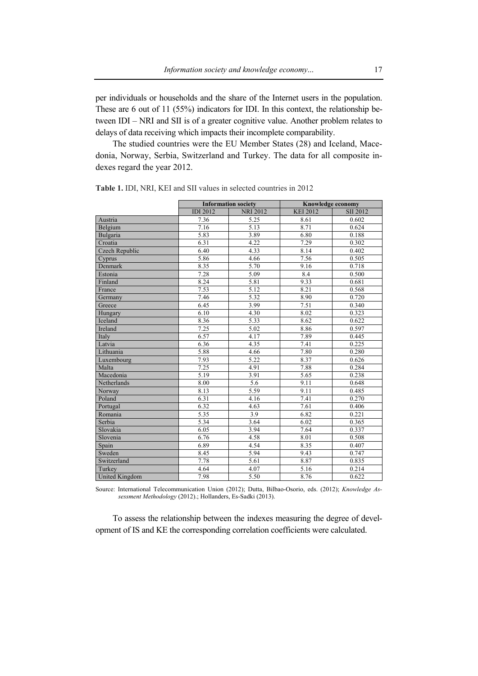per individuals or households and the share of the Internet users in the population. These are 6 out of 11 (55%) indicators for IDI. In this context, the relationship between IDI – NRI and SII is of a greater cognitive value. Another problem relates to delays of data receiving which impacts their incomplete comparability.

The studied countries were the EU Member States (28) and Iceland, Macedonia, Norway, Serbia, Switzerland and Turkey. The data for all composite indexes regard the year 2012.

|                | <b>Information society</b> |                 | Knowledge economy |                 |
|----------------|----------------------------|-----------------|-------------------|-----------------|
|                | <b>IDI 2012</b>            | <b>NRI 2012</b> | <b>KEI 2012</b>   | <b>SII 2012</b> |
| Austria        | 7.36                       | 5.25            | 8.61              | 0.602           |
| Belgium        | 7.16                       | 5.13            | 8.71              | 0.624           |
| Bulgaria       | 5.83                       | 3.89            | 6.80              | 0.188           |
| Croatia        | 6.31                       | 4.22            | $\overline{7.29}$ | 0.302           |
| Czech Republic | 6.40                       | 4.33            | 8.14              | 0.402           |
| Cyprus         | 5.86                       | 4.66            | 7.56              | 0.505           |
| Denmark        | 8.35                       | 5.70            | 9.16              | 0.718           |
| Estonia        | 7.28                       | 5.09            | 8.4               | 0.500           |
| Finland        | 8.24                       | 5.81            | 9.33              | 0.681           |
| France         | 7.53                       | 5.12            | 8.21              | 0.568           |
| Germany        | 7.46                       | 5.32            | 8.90              | 0.720           |
| Greece         | 6.45                       | 3.99            | 7.51              | 0.340           |
| Hungary        | 6.10                       | 4.30            | 8.02              | 0.323           |
| Iceland        | 8.36                       | 5.33            | 8.62              | 0.622           |
| Ireland        | 7.25                       | 5.02            | 8.86              | 0.597           |
| Italy          | 6.57                       | 4.17            | 7.89              | 0.445           |
| Latvia         | 6.36                       | 4.35            | 7.41              | 0.225           |
| Lithuania      | 5.88                       | 4.66            | 7.80              | 0.280           |
| Luxembourg     | 7.93                       | 5.22            | 8.37              | 0.626           |
| Malta          | 7.25                       | 4.91            | 7.88              | 0.284           |
| Macedonia      | 5.19                       | 3.91            | 5.65              | 0.238           |
| Netherlands    | 8.00                       | 5.6             | 9.11              | 0.648           |
| Norway         | 8.13                       | 5.59            | 9.11              | 0.485           |
| Poland         | 6.31                       | 4.16            | 7.41              | 0.270           |
| Portugal       | 6.32                       | 4.63            | 7.61              | 0.406           |
| Romania        | 5.35                       | 3.9             | 6.82              | 0.221           |
| Serbia         | 5.34                       | 3.64            | 6.02              | 0.365           |
| Slovakia       | 6.05                       | 3.94            | 7.64              | 0.337           |
| Slovenia       | 6.76                       | 4.58            | 8.01              | 0.508           |
| Spain          | 6.89                       | 4.54            | 8.35              | 0.407           |
| Sweden         | 8.45                       | 5.94            | 9.43              | 0.747           |
| Switzerland    | 7.78                       | 5.61            | 8.87              | 0.835           |
| Turkey         | 4.64                       | 4.07            | 5.16              | 0.214           |
| United Kingdom | 7.98                       | 5.50            | 8.76              | 0.622           |

**Table 1.** IDI, NRI, KEI and SII values in selected countries in 2012

Source: International Telecommunication Union (2012); Dutta, Bilbao-Osorio, eds. (2012); *Knowledge Assessment Methodology* (2012).; Hollanders, Es-Sadki (2013).

To assess the relationship between the indexes measuring the degree of development of IS and KE the corresponding correlation coefficients were calculated.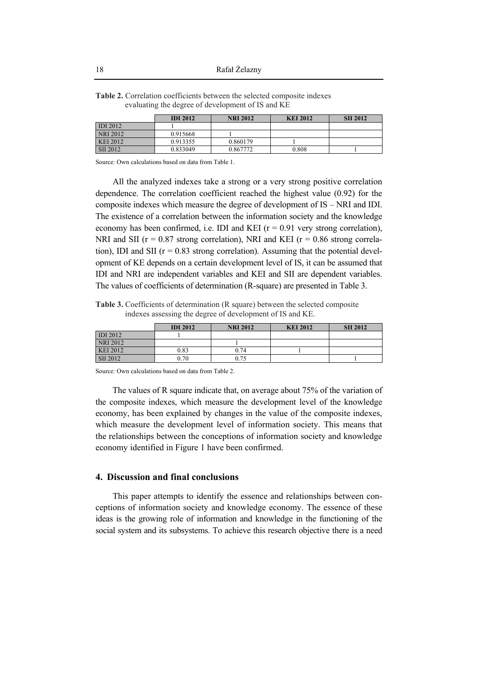|                 | <b>IDI 2012</b> | <b>NRI 2012</b> | <b>KEI 2012</b> | <b>SII 2012</b> |
|-----------------|-----------------|-----------------|-----------------|-----------------|
| <b>IDI 2012</b> |                 |                 |                 |                 |
| NRI 2012        | 0.915668        |                 |                 |                 |
| KEI 2012        | 0.913355        | 0.860179        |                 |                 |
| SII 2012        | 0.833049        | 0.867772        | 0.808           |                 |

**Table 2.** Correlation coefficients between the selected composite indexes evaluating the degree of development of IS and KE

Source: Own calculations based on data from Table 1.

All the analyzed indexes take a strong or a very strong positive correlation dependence. The correlation coefficient reached the highest value (0.92) for the composite indexes which measure the degree of development of IS – NRI and IDI. The existence of a correlation between the information society and the knowledge economy has been confirmed, i.e. IDI and KEI  $(r = 0.91$  very strong correlation), NRI and SII ( $r = 0.87$  strong correlation), NRI and KEI ( $r = 0.86$  strong correlation), IDI and SII ( $r = 0.83$  strong correlation). Assuming that the potential development of KE depends on a certain development level of IS, it can be assumed that IDI and NRI are independent variables and KEI and SII are dependent variables. The values of coefficients of determination (R-square) are presented in Table 3.

**Table 3.** Coefficients of determination (R square) between the selected composite indexes assessing the degree of development of IS and KE.

|                 | <b>IDI 2012</b> | <b>NRI 2012</b> | <b>KEI 2012</b> | <b>SII 2012</b> |
|-----------------|-----------------|-----------------|-----------------|-----------------|
| <b>IDI</b> 2012 |                 |                 |                 |                 |
| <b>NRI 2012</b> |                 |                 |                 |                 |
| <b>KEI 2012</b> | 0.83            | 0.74            |                 |                 |
| SII 2012        | 0.70            | 0.75            |                 |                 |

Source: Own calculations based on data from Table 2.

The values of R square indicate that, on average about 75% of the variation of the composite indexes, which measure the development level of the knowledge economy, has been explained by changes in the value of the composite indexes, which measure the development level of information society. This means that the relationships between the conceptions of information society and knowledge economy identified in Figure 1 have been confirmed.

### **4. Discussion and final conclusions**

This paper attempts to identify the essence and relationships between conceptions of information society and knowledge economy. The essence of these ideas is the growing role of information and knowledge in the functioning of the social system and its subsystems. To achieve this research objective there is a need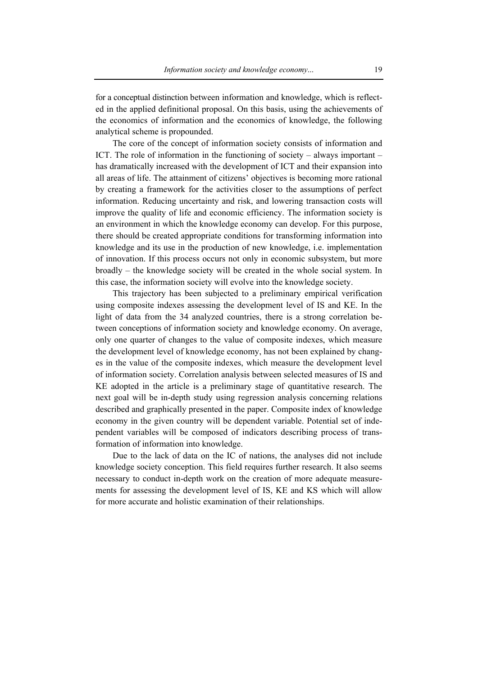for a conceptual distinction between information and knowledge, which is reflected in the applied definitional proposal. On this basis, using the achievements of the economics of information and the economics of knowledge, the following analytical scheme is propounded.

The core of the concept of information society consists of information and ICT. The role of information in the functioning of society – always important – has dramatically increased with the development of ICT and their expansion into all areas of life. The attainment of citizens' objectives is becoming more rational by creating a framework for the activities closer to the assumptions of perfect information. Reducing uncertainty and risk, and lowering transaction costs will improve the quality of life and economic efficiency. The information society is an environment in which the knowledge economy can develop. For this purpose, there should be created appropriate conditions for transforming information into knowledge and its use in the production of new knowledge, i.e. implementation of innovation. If this process occurs not only in economic subsystem, but more broadly – the knowledge society will be created in the whole social system. In this case, the information society will evolve into the knowledge society.

This trajectory has been subjected to a preliminary empirical verification using composite indexes assessing the development level of IS and KE. In the light of data from the 34 analyzed countries, there is a strong correlation between conceptions of information society and knowledge economy. On average, only one quarter of changes to the value of composite indexes, which measure the development level of knowledge economy, has not been explained by changes in the value of the composite indexes, which measure the development level of information society. Correlation analysis between selected measures of IS and KE adopted in the article is a preliminary stage of quantitative research. The next goal will be in-depth study using regression analysis concerning relations described and graphically presented in the paper. Composite index of knowledge economy in the given country will be dependent variable. Potential set of independent variables will be composed of indicators describing process of transformation of information into knowledge.

Due to the lack of data on the IC of nations, the analyses did not include knowledge society conception. This field requires further research. It also seems necessary to conduct in-depth work on the creation of more adequate measurements for assessing the development level of IS, KE and KS which will allow for more accurate and holistic examination of their relationships.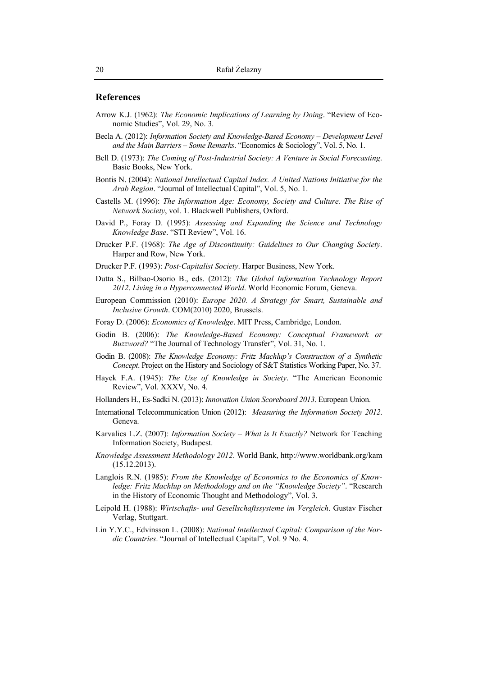#### **References**

- Arrow K.J. (1962): The Economic Implications of Learning by Doing. "Review of Economic Studies", Vol. 29, No. 3.
- Becla A. (2012): Information Society and Knowledge-Based Economy Development Level and the Main Barriers – Some Remarks. "Economics & Sociology", Vol. 5, No. 1.
- Bell D. (1973): The Coming of Post-Industrial Society: A Venture in Social Forecasting. Basic Books, New York.
- Bontis N. (2004): National Intellectual Capital Index. A United Nations Initiative for the Arab Region. "Journal of Intellectual Capital", Vol. 5, No. 1.
- Castells M. (1996): The Information Age: Economy, Society and Culture. The Rise of Network Society, vol. 1. Blackwell Publishers, Oxford.
- David P., Foray D. (1995): Assessing and Expanding the Science and Technology Knowledge Base. "STI Review", Vol. 16.
- Drucker P.F. (1968): The Age of Discontinuity: Guidelines to Our Changing Society. Harper and Row, New York.
- Drucker P.F. (1993): Post-Capitalist Society. Harper Business, New York.
- Dutta S., Bilbao-Osorio B., eds. (2012): The Global Information Technology Report 2012. Living in a Hyperconnected World. World Economic Forum, Geneva.
- European Commission (2010): Europe 2020. A Strategy for Smart, Sustainable and Inclusive Growth. COM(2010) 2020, Brussels.
- Foray D. (2006): *Economics of Knowledge*, MIT Press, Cambridge, London.
- Godin B. (2006): The Knowledge-Based Economy: Conceptual Framework or *Buzzword?* "The Journal of Technology Transfer", Vol. 31, No. 1.
- Godin B. (2008): The Knowledge Economy: Fritz Machlup's Construction of a Synthetic Concept. Project on the History and Sociology of S&T Statistics Working Paper, No. 37.
- Hayek F.A. (1945): The Use of Knowledge in Society. "The American Economic Review", Vol. XXXV, No. 4.
- Hollanders H., Es-Sadki N. (2013): Innovation Union Scoreboard 2013. European Union.
- International Telecommunication Union (2012): Measuring the Information Society 2012. Geneva.
- Karvalics L.Z. (2007): Information Society What is It Exactly? Network for Teaching Information Society, Budapest.
- Knowledge Assessment Methodology 2012. World Bank, http://www.worldbank.org/kam  $(15.12.2013).$
- Langlois R.N. (1985): From the Knowledge of Economics to the Economics of Knowledge: Fritz Machlup on Methodology and on the "Knowledge Society". "Research in the History of Economic Thought and Methodology", Vol. 3.
- Leipold H. (1988): Wirtschafts- und Gesellschaftssysteme im Vergleich. Gustav Fischer Verlag, Stuttgart.
- Lin Y.Y.C., Edvinsson L. (2008): National Intellectual Capital: Comparison of the Nordic Countries. "Journal of Intellectual Capital", Vol. 9 No. 4.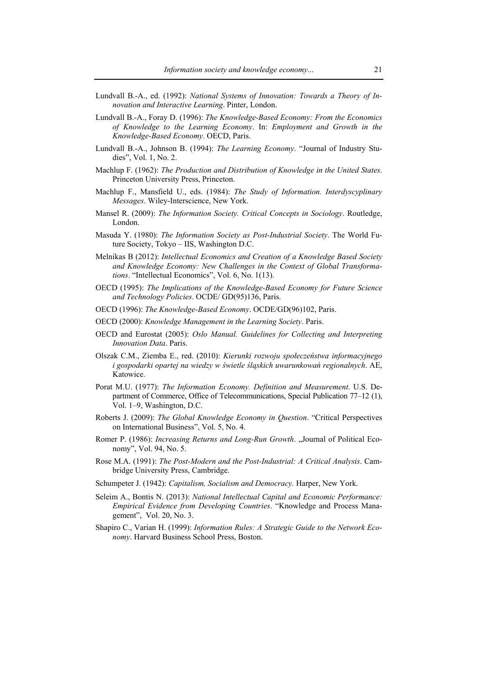- Lundvall B.-A., ed. (1992): *National Systems of Innovation: Towards a Theory of Innovation and Interactive Learning*. Pinter, London.
- Lundvall B.-A., Foray D. (1996): *The Knowledge-Based Economy: From the Economics of Knowledge to the Learning Economy*. In: *Employment and Growth in the Knowledge-Based Economy*. OECD, Paris.
- Lundvall B.-A., Johnson B. (1994): *The Learning Economy*. "Journal of Industry Studies", Vol. 1, No. 2.
- Machlup F. (1962): *The Production and Distribution of Knowledge in the United States*. Princeton University Press, Princeton.
- Machlup F., Mansfield U., eds. (1984): *The Study of Information. Interdyscyplinary Messages*. Wiley-Interscience, New York.
- Mansel R. (2009): *The Information Society. Critical Concepts in Sociology*. Routledge, London.
- Masuda Y. (1980): *The Information Society as Post-Industrial Society*. The World Future Society, Tokyo – IIS, Washington D.C.
- Melnikas B (2012): *Intellectual Economics and Creation of a Knowledge Based Society and Knowledge Economy: New Challenges in the Context of Global Transformations*. "Intellectual Economics", Vol. 6, No. 1(13).
- OECD (1995): *The Implications of the Knowledge-Based Economy for Future Science and Technology Policies*. OCDE/ GD(95)136, Paris.
- OECD (1996): *The Knowledge-Based Economy*. OCDE/GD(96)102, Paris.
- OECD (2000): *Knowledge Management in the Learning Society*. Paris.
- OECD and Eurostat (2005): *Oslo Manual. Guidelines for Collecting and Interpreting Innovation Data*. Paris.
- Olszak C.M., Ziemba E., red. (2010): *Kierunki rozwoju społeczeństwa informacyjnego i gospodarki opartej na wiedzy w świetle śląskich uwarunkowań regionalnych*. AE, Katowice.
- Porat M.U. (1977): *The Information Economy. Definition and Measurement*. U.S. Department of Commerce, Office of Telecommunications, Special Publication 77–12 (1), Vol. 1–9, Washington, D.C.
- Roberts J. (2009): *The Global Knowledge Economy in Question*. "Critical Perspectives on International Business", Vol. 5, No. 4.
- Romer P. (1986): *Increasing Returns and Long-Run Growth*. "Journal of Political Economy", Vol. 94, No. 5.
- Rose M.A. (1991): *The Post-Modern and the Post-Industrial: A Critical Analysis*. Cambridge University Press, Cambridge.
- Schumpeter J. (1942): *Capitalism, Socialism and Democracy.* Harper, New York.
- Seleim A., Bontis N. (2013): *National Intellectual Capital and Economic Performance: Empirical Evidence from Developing Countries*. "Knowledge and Process Management", Vol. 20, No. 3.
- Shapiro C., Varian H. (1999): *Information Rules: A Strategic Guide to the Network Economy*. Harvard Business School Press, Boston.